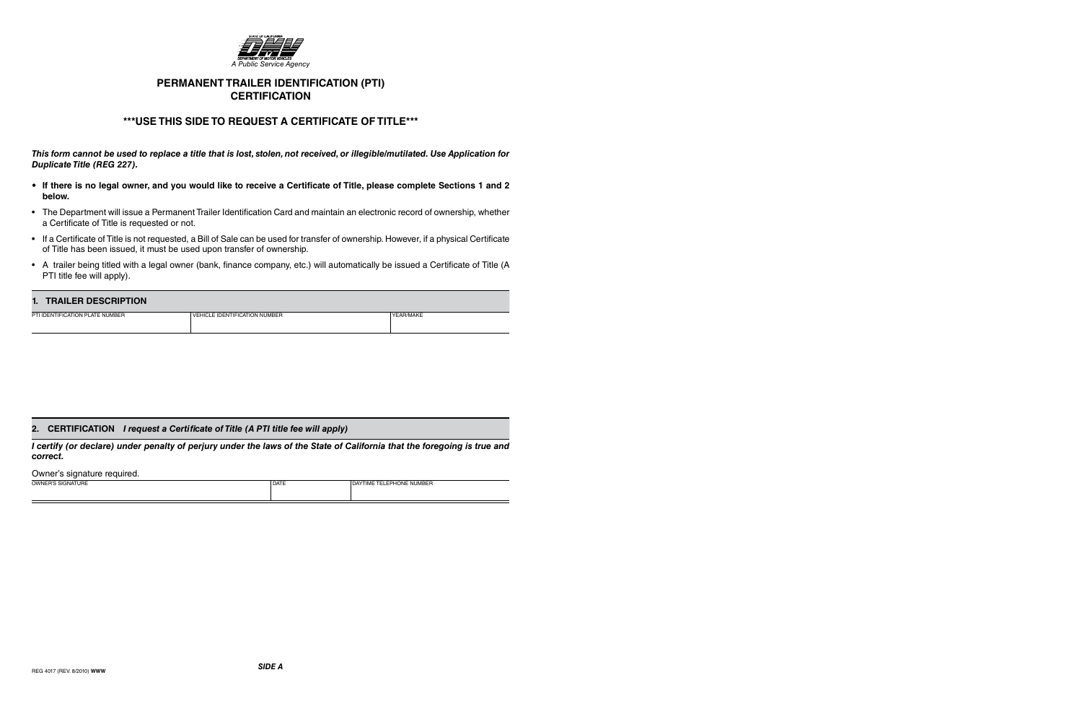

# **PERMANENT TRAILER IDENTIFICATION (PTI) CERTIFICATION**

## **\*\*\*USE THIS SIDE TO REQUEST A CERTIFICATE OF TITLE\*\*\***

*This form cannot be used to replace a title that is lost, stolen, not received, or illegible/mutilated. Use Application for Duplicate Title (REG 227).*

- **If there is no legal owner, and you would like to receive a Certificate of Title, please complete Sections 1 and 2 below.**
- The Department will issue a Permanent Trailer Identification Card and maintain an electronic record of ownership, whether a Certificate of Title is requested or not.
- If a Certificate of Title is not requested, a Bill of Sale can be used for transfer of ownership. However, if a physical Certificate of Title has been issued, it must be used upon transfer of ownership.
- A trailer being titled with a legal owner (bank, finance company, etc.) will automatically be issued a Certificate of Title (A PTI title fee will apply).

### **1. TRAILER DESCRIPTION**

| <u>E TRAFFIT DESCRITION</u>     |                               |           |
|---------------------------------|-------------------------------|-----------|
| PTI IDENTIFICATION PLATE NUMBER | VEHICLE IDENTIFICATION NUMBER | YEAR/MAKE |
|                                 |                               |           |

### **2. CERTIFICATION** *I request a Certificate of Title (A PTI title fee will apply)*

*I certify (or declare) under penalty of perjury under the laws of the State of California that the foregoing is true and correct.*

#### Owner's signature required.

| SIGNATURE<br>OWNER'S | <b>DATE</b> | <b>ELEPHONE NUMBER</b><br>DAY<br>' IME |
|----------------------|-------------|----------------------------------------|
|                      |             |                                        |